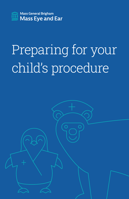

# Preparing for your child's procedure

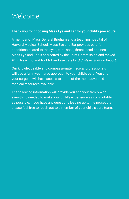# Welcome

#### **Thank you for choosing Mass Eye and Ear for your child's procedure.**

A member of Mass General Brigham and a teaching hospital of Harvard Medical School, Mass Eye and Ear provides care for conditions related to the eyes, ears, nose, throat, head and neck. Mass Eye and Ear is accredited by the Joint Commission and ranked #1 in New England for ENT and eye care by *U.S. News & World Report*.

Our knowledgeable and compassionate medical professionals will use a family-centered approach to your child's care. You and your surgeon will have access to some of the most advanced medical resources available.

The following information will provide you and your family with everything needed to make your child's experience as comfortable as possible. If you have any questions leading up to the procedure, please feel free to reach out to a member of your child's care team.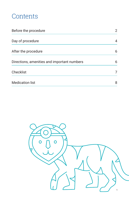# **Contents**

| Before the procedure                        | 2 |
|---------------------------------------------|---|
| Day of procedure                            | 4 |
| After the procedure                         | 6 |
| Directions, amenities and important numbers | 6 |
| Checklist                                   | 7 |
| <b>Medication list</b>                      | 8 |

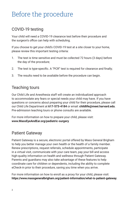# Before the procedure

### COVID-19 testing

Your child will need a COVID-19 clearance test before their procedure and the surgeon's office can help with scheduling.

If you choose to get your child's COVID-19 test at a site closer to your home, please review this important testing criteria:

- 1. The test is time sensitive and must be collected 72 hours (3 days) before the day of the procedure;
- 2. The test is type-specific. A "PCR" test is required for clearance and finally;
- 3. The results need to be available before the procedure can begin.

### Teaching tours

Our Child Life and Anesthesia staff will create an individualized approach to accommodate any fears or special needs your child may have. If you have questions or concerns about preparing your child for their procedure, please call our Child Life Department at **617-573-4184** or email: **childlife@meei.harvard.edu**. Pre-admission teaching tours or phone consults are available.

For more information on how to prepare your child, please visit: **www.MassEyeAndEar.org/pediatric-surgery**

### Patient Gateway

Patient Gateway is a secure, electronic portal offered by Mass General Brigham to help you better manage your own health or the health of a family member. Renew prescriptions, request referrals, schedule appointments, participate in a virtual visit, communicate with your care team, pay your bill and access high-quality information on health and wellness through Patient Gateway. Parents and guardians may also take advantage of these features to help coordinate care for children or dependents, including the ability to complete eCheck-in prior to their procedure, saving you time when you arrive.

For more information on how to enroll as a proxy for your child, please visit: **https://www.massgeneralbrigham.org/patient-information/what-is-patient-gateway**.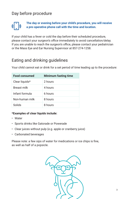### Day before procedure



**The day or evening before your child's procedure, you will receive a pre-operative phone call with the time and location.**

If your child has a fever or cold the day before their scheduled procedure, please contact your surgeon's office immediately to avoid cancellation/delay. If you are unable to reach the surgeon's office, please contact your pediatrician or the Mass Eye and Ear Nursing Supervisor at 857-274-1258.

### Eating and drinking guidelines

Your child cannot eat or drink for a set period of time leading up to the procedure:

| <b>Food consumed</b> | <b>Minimum fasting time</b> |
|----------------------|-----------------------------|
| Clear liquids*       | 2 hours                     |
| Breast milk          | 4 hours                     |
| Infant formula       | 6 hours                     |
| Non-human milk       | 8 hours                     |
| Solids               | 8 hours                     |

#### **\*Examples of clear liquids include:**

- Water
- Sports drinks like Gatorade or Powerade
- Clear juices without pulp (e.g. apple or cranberry juice)
- Carbonated beverages

Please note: a few sips of water for medications or ice chips is fine, as well as half of a popsicle.

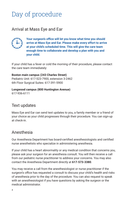# Day of procedure

### Arrival at Mass Eye and Ear



**Your surgeon's office will let you know what time you should arrive at Mass Eye and Ear. Please make every effort to arrive at your child's scheduled time. This will give the care team enough time to collaborate and develop a plan with you and your child.**

If your child has a fever or cold the morning of their procedure, please contact the care team immediately:

**Boston main campus (243 Charles Street)** Pediatric Unit: 617-523-7900, extension 3-2462 6th Floor Surgical Suites: 617-391-5900

#### **Longwood campus (800 Huntington Avenue)**

617-936-6111

### Text updates

Mass Eye and Ear can send text updates to you, a family member or a friend of your choice as your child progresses through their procedure. You can sign-up at check-in.

### Anesthesia

Our Anesthesia Department has board-certified anesthesiologists and certified nurse anesthetists who specialize in administering anesthesia.

If your child has a heart abnormality or any medical condition that concerns you, please ask your surgeon for an anesthesia consult. You will then receive a call from our pediatric nurse practitioner to address your concerns. You may also contact the Anesthesia Department directly at **617-573-3380**.

You may receive a call from the anesthesiologist or nurse practitioner if the surgeon's office has requested a consult to discuss your child's health and risks of anesthesia prior to the day of the procedure. You can also request to speak with an anesthesiologist if you have questions by asking the surgeon or the medical administrator.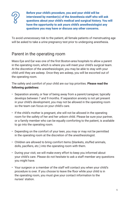

**Before your child's procedure, you and your child will be interviewed by member(s) of the Anesthesia staff who will ask questions about your child's medical and surgical history. You will have the opportunity to ask yours child's anesthesiologist any questions you may have or discuss any other concerns.**

To avoid unnecessary risk to the patient, all female patients of menstruating age will be asked to take a urine pregnancy test prior to undergoing anesthesia.

### Parent in the operating room

Mass Eye and Ear was one of the first Boston-area hospitals to allow a parent in the operating room, which is where you will meet your child's surgical team. At the discretion of the anesthesiologist, you may be able to stay with your child until they are asleep. Once they are asleep, you will be escorted out of the operating room.

The safety and comfort of your child are our top priorities. **Please read the following guidelines:**

- Separation anxiety, or fear of being away from a parent/caregiver, typically develops between 7 and 9 months. If separation anxiety is not yet present in your child's development, you may not be allowed in the operating room so the team can focus on your child's care.
- If the child's mother is pregnant, she will not be allowed in the operating room for the safety of her and her unborn child. Please be sure your partner, or a family member who can be equally comforting to the patient, is available to go into the operating room.
- Depending on the comfort of your teen, you may or may not be permitted in the operating room at the discretion of the anesthesiologist.
- Children are allowed to bring comfort items (blankets, stuffed animals, dolls, pacifiers, etc.) into the operating room with them.
- During your visit, we will make every effort to keep you informed about your child's care. Please do not hesitate to ask a staff member any questions you might have.
- Your surgeon or a member of the staff will contact you when your child's procedure is over. If you choose to leave the floor while your child is in the operating room, you must give your contact information to the nurses' station.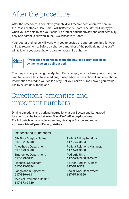# After the procedure

After the procedure is complete, your child will receive post-operative care in the Post Anesthesia Care Unit (PACU)/Recovery Room. The staff will notify you when you are able to see your child. To protect patient privacy and confidentiality, only one parent is allowed in the PACU/Recovery Room.

Your doctor and nurse will work with you to decide the appropriate time for your child to return home. Before discharge, a member of the pediatric nursing staff will talk with you about how to care for your child at home.



#### **If your child requires an overnight stay, one parent can sleep by their side on a pull-out bed.**

You may also enjoy using the MyChart Bedside app, which allows you to use your own tablet (or a hospital-issued one, if needed) to access clinical and educational information related to your child's stay. Let your child's nurse know if you would like to be set-up with the app.

## Directions, amenities and important numbers

Driving directions and parking instructions at our Boston and Longwood locations can be found at **www.MassEyeAndEar.org/locations**. For full details on available amenities, staying in Boston and more, visit **www.MassEyeAndEar.org/visitors**.

#### Important numbers

6th Floor Surgical Suites: **617-391-5900** Anesthesia Department:

**617-573-3380**

Emergency Department: **617-573-3431**

Financial Coordinator: **617-573-5664**

Longwood Surgicenter: **617-936-6111**

Medical Evaluation Center: **617-573-3720**

Patient Billing Solutions: **617-726-3884**

Patient Relations Manager: **617-573-3008**

Pediatric Unit: **617-523-7900, 3-2462**

S Floor Surgical Suites: **617-573-3731** Social Work Department: **617-573-3550**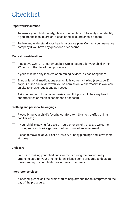# Checklist

#### **Paperwork/insurance**

To ensure your child's safety, please bring a photo ID to verify your identity. If you are the legal guardian, please bring all guardianship papers.

Review and understand your health insurance plan. Contact your insurance company if you have any questions or concerns.

#### **Medical considerations**

 $\Box$  A negative COVID-19 test (must be PCR) is required for your child within 72 hours of the day of their procedure.

 $\Box$  if your child has any inhalers or breathing devices, please bring them.

Bring a list of all medications your child is currently taking (see page 8) so your nurse can review with you on admission. A pharmacist is available on site to answer questions as needed.

Ask your surgeon for an anesthesia consult if your child has any heart abnormalities or medical conditions of concern.

#### **Clothing and personal belongings**

Please bring your child's favorite comfort item (blanket, stuffed animal, pacifier, etc.).

 $\Box$  If your child is staying for several hours or overnight, they are welcome to bring movies, books, games or other forms of entertainment.

Please remove all of your child's jewelry or body piercings and leave them at home.

#### **Childcare**

Join us in making your child our sole focus during the procedure by arranging care for your other children. Please come prepared to dedicate the entire day to your child's procedure and recovery.

#### **Interpreter services**

If needed, please ask the clinic staff to help arrange for an interpreter on the day of the procedure.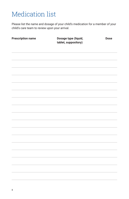# Medication list

Please list the name and dosage of your child's medication for a member of your child's care team to review upon your arrival.

| <b>Prescription name</b> | Dosage type (liquid,<br>tablet, suppository) | <b>Dose</b> |
|--------------------------|----------------------------------------------|-------------|
|                          |                                              |             |
|                          |                                              |             |
|                          |                                              |             |
|                          |                                              |             |
|                          |                                              |             |
|                          |                                              |             |
|                          |                                              |             |
|                          |                                              |             |
|                          |                                              |             |
|                          |                                              |             |
|                          |                                              |             |
|                          |                                              |             |
|                          |                                              |             |
|                          |                                              |             |
|                          |                                              |             |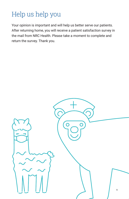# Help us help you

Your opinion is important and will help us better serve our patients. After returning home, you will receive a patient satisfaction survey in the mail from NRC Health. Please take a moment to complete and return the survey. Thank you.